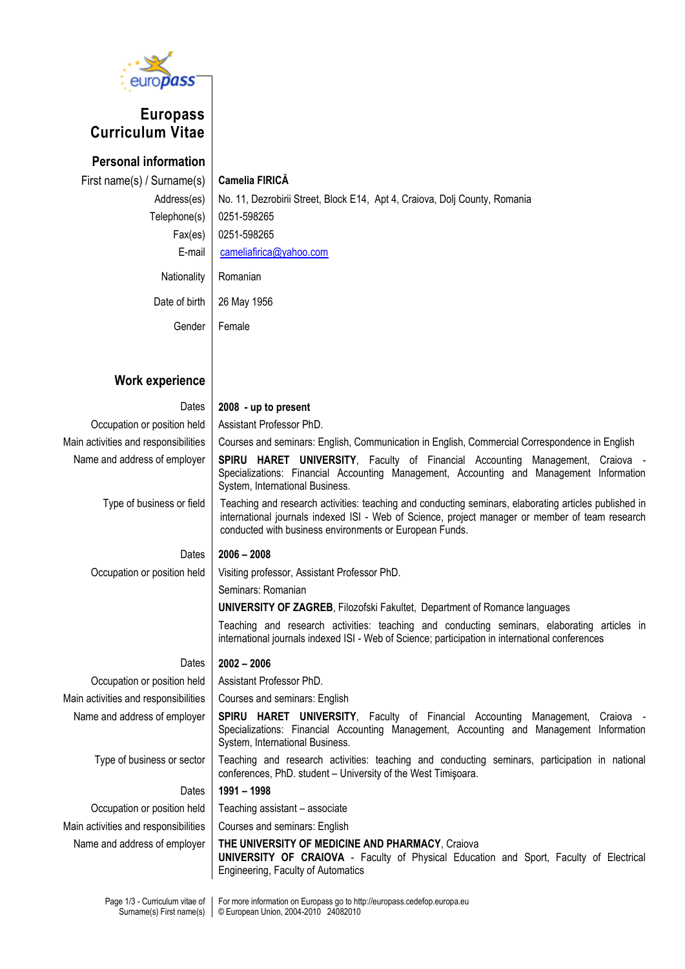

# **Europass Curriculum Vitae**

**Personal information** First name(s) / Surname(s) **Camelia FIRICĂ**

Address(es) | No. 11, Dezrobirii Street, Block E14, Apt 4, Craiova, Dolj County, Romania Telephone(s) 0251-598265 Fax(es) 0251-598265 E-mail [cameliafirica@yahoo.com](mailto:cameliafirica@yahoo.com) Nationality | Romanian Date of birth 26 May 1956 Gender Female

## **Work experience**

#### Dates **2008 - up to present**

System, International Business.

Occupation or position held | Assistant Professor PhD. Main activities and responsibilities | Courses and seminars: English, Communication in English, Commercial Correspondence in English Name and address of employer **SPIRU HARET UNIVERSITY**, Faculty of Financial Accounting Management, Craiova -Specializations: Financial Accounting Management, Accounting and Management Information

Type of business or field Teaching and research activities: teaching and conducting seminars, elaborating articles published in

international journals indexed ISI - Web of Science, project manager or member of team research conducted with business environments or European Funds.

Dates **2006 – 2008**

Occupation or position held | Visiting professor, Assistant Professor PhD.

Seminars: Romanian

**UNIVERSITY OF ZAGREB**, Filozofski Fakultet, Department of Romance languages

Teaching and research activities: teaching and conducting seminars, elaborating articles in international journals indexed ISI - Web of Science; participation in international conferences

### Dates **2002 – 2006**

Occupation or position held | Assistant Professor PhD.

Main activities and responsibilities | Courses and seminars: English

Name and address of employer | SPIRU HARET UNIVERSITY, Faculty of Financial Accounting Management, Craiova -Specializations: Financial Accounting Management, Accounting and Management Information System, International Business.

conferences, PhD. student – University of the West Timişoara.

Type of business or sector | Teaching and research activities: teaching and conducting seminars, participation in national

Dates **1991 – 1998**

Occupation or position held | Teaching assistant - associate

Main activities and responsibilities  $\parallel$  Courses and seminars: English

#### Name and address of employer **THE UNIVERSITY OF MEDICINE AND PHARMACY**, Craiova

**UNIVERSITY OF CRAIOVA** - Faculty of Physical Education and Sport, Faculty of Electrical Engineering, Faculty of Automatics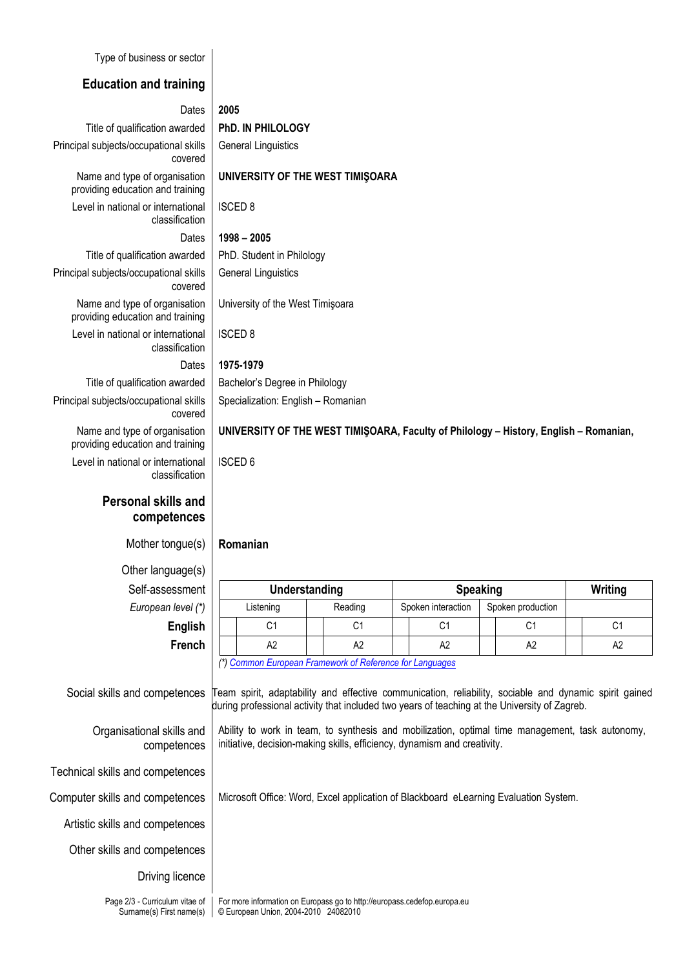Type of business or sector

### **Education and training**

#### Dates **2005**

ISCED 8

ISCED 8

Dates **1998 – 2005**

General Linguistics

General Linguistics

University of the West Timişoara

Specialization: English – Romanian

**UNIVERSITY OF THE WEST TIMIŞOARA**

Title of qualification awarded **PhD. IN PHILOLOGY** Principal subjects/occupational skills covered Name and type of organisation providing education and training Level in national or international classification

Title of qualification awarded | PhD. Student in Philology Principal subjects/occupational skills covered Name and type of organisation providing education and training

Level in national or international classification

# Dates **1975-1979**

Title of qualification awarded | Bachelor's Degree in Philology

Principal subjects/occupational skills covered

Name and type of organisation providing education and training

Level in national or international classification

## **Personal skills and competences**

Mother tongue(s) **Romanian**

Other language(s)  $Self-assessment$ *European level (\*)* 

Organisational skills and competences

Technical skills and competences

Artistic skills and competences

Other skills and competences

Driving licence

**UNIVERSITY OF THE WEST TIMIŞOARA, Faculty of Philology – History, English – Romanian,** 

ISCED 6

| .              |               |           |         |                 |                    |  |                   |         |    |
|----------------|---------------|-----------|---------|-----------------|--------------------|--|-------------------|---------|----|
| essment        | Understanding |           |         | <b>Speaking</b> |                    |  |                   | Writing |    |
| n level (*)    |               | Listening | Reading |                 | Spoken interaction |  | Spoken production |         |    |
| <b>English</b> |               | С1        | С1      |                 | С1                 |  | C1                |         | С1 |
| French         |               | A2        | A2      |                 | A2                 |  | A2                |         | A2 |

*(\*[\) Common European Framework of Reference for Languages](http://europass.cedefop.europa.eu/LanguageSelfAssessmentGrid/en)*

Social skills and competences Team spirit, adaptability and effective communication, reliability, sociable and dynamic spirit gained during professional activity that included two years of teaching at the University of Zagreb.

> Ability to work in team, to synthesis and mobilization, optimal time management, task autonomy, initiative, decision-making skills, efficiency, dynamism and creativity.

Computer skills and competences | Microsoft Office: Word, Excel application of Blackboard eLearning Evaluation System.

Page 2/3 - Curriculum vitae of Surname(s) First name(s) For more information on Europass go to http://europass.cedefop.europa.eu © European Union, 2004-2010 24082010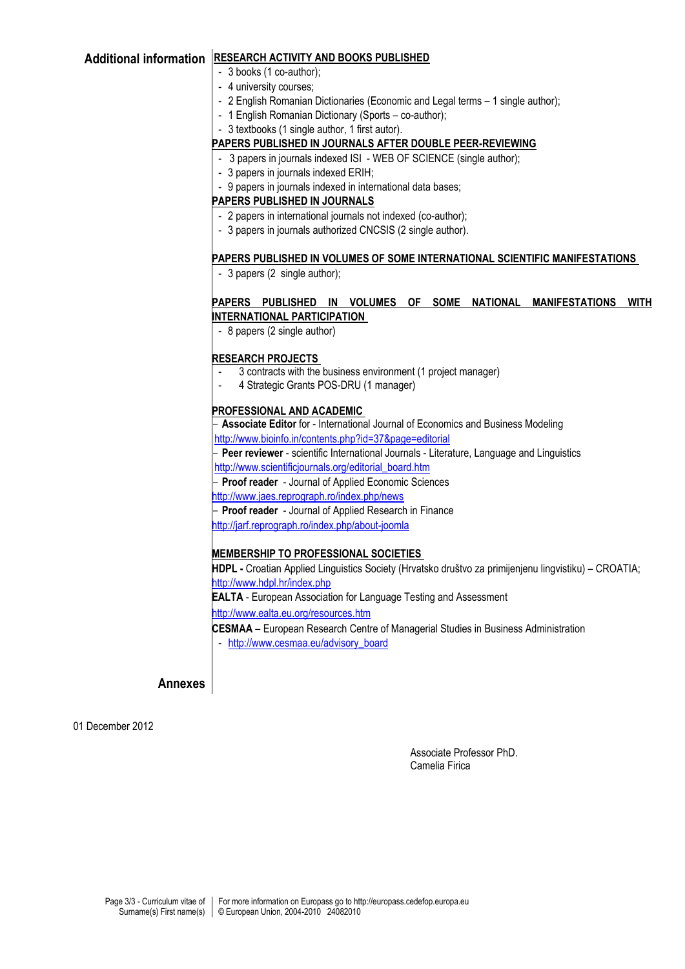### **Additional information RESEARCH ACTIVITY AND BOOKS PUBLISHED**

- 3 books (1 co-author);
- 4 university courses;
- 2 English Romanian Dictionaries (Economic and Legal terms 1 single author);
- 1 English Romanian Dictionary (Sports co-author);
- 3 textbooks (1 single author, 1 first autor).

#### **PAPERS PUBLISHED IN JOURNALS AFTER DOUBLE PEER-REVIEWING**

- 3 papers in journals indexed ISI WEB OF SCIENCE (single author);
- 3 papers in journals indexed ERIH;
- 9 papers in journals indexed in international data bases;

#### **PAPERS PUBLISHED IN JOURNALS**

- 2 papers in international journals not indexed (co-author);
- 3 papers in journals authorized CNCSIS (2 single author).

#### **PAPERS PUBLISHED IN VOLUMES OF SOME INTERNATIONAL SCIENTIFIC MANIFESTATIONS**

- 3 papers (2 single author);

#### **PAPERS PUBLISHED IN VOLUMES OF SOME NATIONAL MANIFESTATIONS WITH INTERNATIONAL PARTICIPATION**

- 8 papers (2 single author)

#### **RESEARCH PROJECTS**

- 3 contracts with the business environment (1 project manager)
- 4 Strategic Grants POS-DRU (1 manager)

#### **PROFESSIONAL AND ACADEMIC**

- **Associate Editor** for - International Journal of Economics and Business Modeling

<http://www.bioinfo.in/contents.php?id=37&page=editorial>

- **Peer reviewer** - scientific International Journals - Literature, Language and Linguistics [http://www.scientificjournals.org/editorial\\_board.htm](http://www.scientificjournals.org/editorial_board.htm)

- **Proof reader** - Journal of Applied Economic Sciences

- <http://www.jaes.reprograph.ro/index.php/news>
- **Proof reader** Journal of Applied Research in Finance

<http://jarf.reprograph.ro/index.php/about-joomla>

#### **MEMBERSHIP TO PROFESSIONAL SOCIETIES**

**HDPL -** Croatian Applied Linguistics Society (Hrvatsko društvo za primijenjenu lingvistiku) – CROATIA; <http://www.hdpl.hr/index.php> **EALTA** - European Association for Language Testing and Assessment <http://www.ealta.eu.org/resources.htm> **CESMAA** – European Research Centre of Managerial Studies in Business Administration - [http://www.cesmaa.eu/advisory\\_board](http://www.cesmaa.eu/advisory_board)

**Annexes**

01 December 2012

Associate Professor PhD. Camelia Firica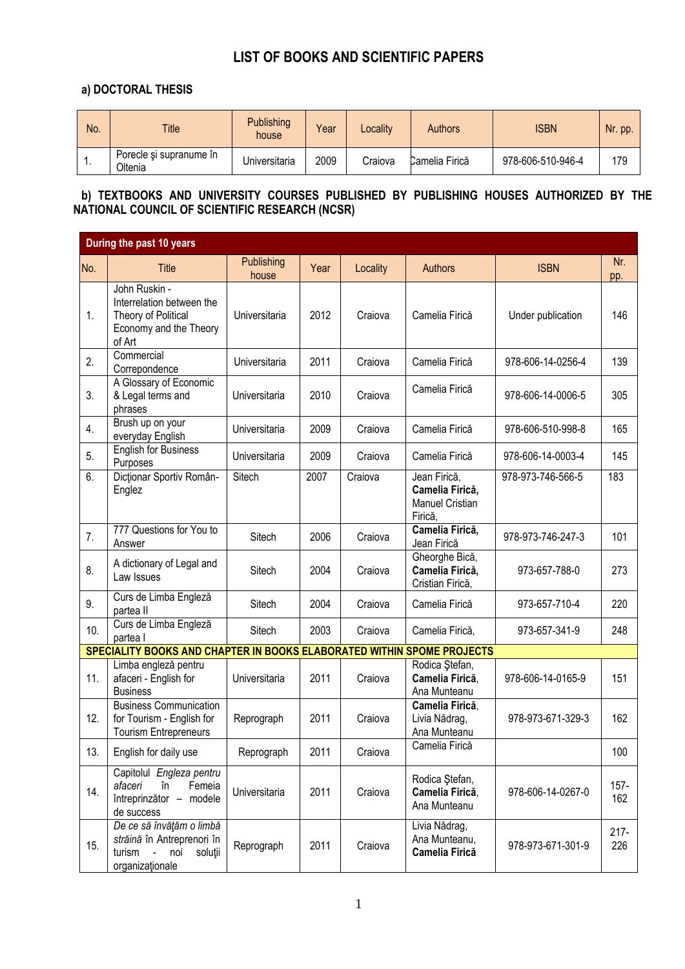# **LIST OF BOOKS AND SCIENTIFIC PAPERS**

## **a) DOCTORAL THESIS**

| No. | <b>Title</b>                       | <b>Publishing</b><br>house | Year | <b>Locality</b> | <b>Authors</b> | <b>ISBN</b>       | Nr. pp. |
|-----|------------------------------------|----------------------------|------|-----------------|----------------|-------------------|---------|
| . . | Porecle si supranume în<br>Oltenia | Universitaria              | 2009 | Craiova         | Camelia Firică | 978-606-510-946-4 | 179     |

### **b) TEXTBOOKS AND UNIVERSITY COURSES PUBLISHED BY PUBLISHING HOUSES AUTHORIZED BY THE NATIONAL COUNCIL OF SCIENTIFIC RESEARCH (NCSR)**

|     | During the past 10 years                                                                              |                     |      |          |                                                                      |                   |                |
|-----|-------------------------------------------------------------------------------------------------------|---------------------|------|----------|----------------------------------------------------------------------|-------------------|----------------|
| No. | <b>Title</b>                                                                                          | Publishing<br>house | Year | Locality | <b>Authors</b>                                                       | <b>ISBN</b>       | Nr.<br>pp.     |
| 1.  | John Ruskin -<br>Interrelation between the<br>Theory of Political<br>Economy and the Theory<br>of Art | Universitaria       | 2012 | Craiova  | Camelia Firică                                                       | Under publication | 146            |
| 2.  | Commercial<br>Correpondence                                                                           | Universitaria       | 2011 | Craiova  | Camelia Firică                                                       | 978-606-14-0256-4 | 139            |
| 3.  | A Glossary of Economic<br>& Legal terms and<br>phrases                                                | Universitaria       | 2010 | Craiova  | Camelia Firică                                                       | 978-606-14-0006-5 | 305            |
| 4.  | Brush up on your<br>everyday English                                                                  | Universitaria       | 2009 | Craiova  | Camelia Firică                                                       | 978-606-510-998-8 | 165            |
| 5.  | <b>English for Business</b><br>Purposes                                                               | Universitaria       | 2009 | Craiova  | Camelia Firică                                                       | 978-606-14-0003-4 | 145            |
| 6.  | Dicționar Sportiv Român-<br>Englez                                                                    | Sitech              | 2007 | Craiova  | Jean Firică,<br>Camelia Firică,<br><b>Manuel Cristian</b><br>Firică, | 978-973-746-566-5 | 183            |
| 7.  | 777 Questions for You to<br>Answer                                                                    | Sitech              | 2006 | Craiova  | Camelia Firică,<br>Jean Firică                                       | 978-973-746-247-3 | 101            |
| 8.  | A dictionary of Legal and<br>Law Issues                                                               | Sitech              | 2004 | Craiova  | Gheorghe Bică,<br>Camelia Firică,<br>Cristian Firică,                | 973-657-788-0     | 273            |
| 9.  | Curs de Limba Engleză<br>partea II                                                                    | Sitech              | 2004 | Craiova  | Camelia Firică                                                       | 973-657-710-4     | 220            |
| 10. | Curs de Limba Engleză<br>partea l                                                                     | Sitech              | 2003 | Craiova  | Camelia Firică,                                                      | 973-657-341-9     | 248            |
|     | SPECIALITY BOOKS AND CHAPTER IN BOOKS ELABORATED WITHIN SPOME PROJECTS                                |                     |      |          |                                                                      |                   |                |
| 11. | Limba engleză pentru<br>afaceri - English for<br><b>Business</b>                                      | Universitaria       | 2011 | Craiova  | Rodica Stefan,<br>Camelia Firică,<br>Ana Munteanu                    | 978-606-14-0165-9 | 151            |
| 12. | <b>Business Communication</b><br>for Tourism - English for<br><b>Tourism Entrepreneurs</b>            | Reprograph          | 2011 | Craiova  | Camelia Firică,<br>Livia Nădrag,<br>Ana Munteanu                     | 978-973-671-329-3 | 162            |
| 13. | English for daily use                                                                                 | Reprograph          | 2011 | Craiova  | Camelia Firică                                                       |                   | 100            |
| 14. | Capitolul Engleza pentru<br>afaceri<br>Femeia<br>în<br>întreprinzător -<br>modele<br>de success       | Universitaria       | 2011 | Craiova  | Rodica Ştefan,<br>Camelia Firică,<br>Ana Munteanu                    | 978-606-14-0267-0 | $157 -$<br>162 |
| 15. | De ce să învățăm o limbă<br>străină în Antreprenori în<br>turism<br>noi<br>soluții<br>organizaționale | Reprograph          | 2011 | Craiova  | Livia Nădrag,<br>Ana Munteanu,<br>Camelia Firică                     | 978-973-671-301-9 | $217 -$<br>226 |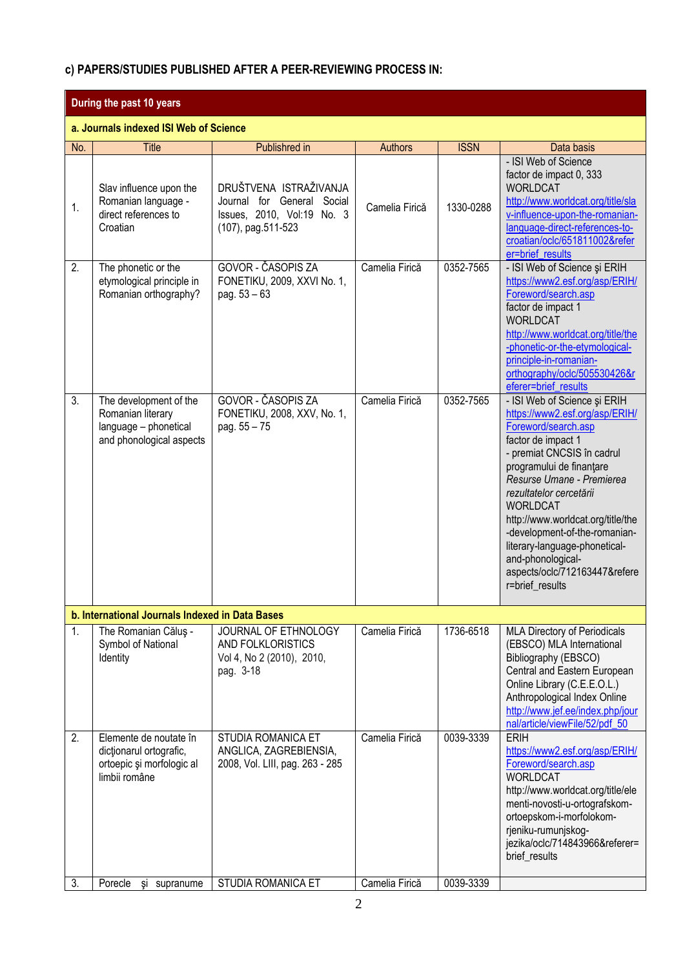## **c) PAPERS/STUDIES PUBLISHED AFTER A PEER-REVIEWING PROCESS IN:**

|     | During the past 10 years                                                                         |                                                                                                             |                |             |                                                                                                                                                                                                                                                                                                                                                                                                                                  |  |  |
|-----|--------------------------------------------------------------------------------------------------|-------------------------------------------------------------------------------------------------------------|----------------|-------------|----------------------------------------------------------------------------------------------------------------------------------------------------------------------------------------------------------------------------------------------------------------------------------------------------------------------------------------------------------------------------------------------------------------------------------|--|--|
|     | a. Journals indexed ISI Web of Science                                                           |                                                                                                             |                |             |                                                                                                                                                                                                                                                                                                                                                                                                                                  |  |  |
| No. | <b>Title</b>                                                                                     | Publishred in                                                                                               | <b>Authors</b> | <b>ISSN</b> | Data basis                                                                                                                                                                                                                                                                                                                                                                                                                       |  |  |
| 1.  | Slav influence upon the<br>Romanian language -<br>direct references to<br>Croatian               | DRUŠTVENA ISTRAŽIVANJA<br>Journal for General<br>Social<br>Issues, 2010, Vol:19 No. 3<br>(107), pag.511-523 | Camelia Firică | 1330-0288   | - ISI Web of Science<br>factor de impact 0, 333<br><b>WORLDCAT</b><br>http://www.worldcat.org/title/sla<br>v-influence-upon-the-romanian-<br>language-direct-references-to-<br>croatian/oclc/651811002&refer<br>er=brief_results                                                                                                                                                                                                 |  |  |
| 2.  | The phonetic or the<br>etymological principle in<br>Romanian orthography?                        | GOVOR - ČASOPIS ZA<br>FONETIKU, 2009, XXVI No. 1,<br>pag. $53 - 63$                                         | Camelia Firică | 0352-7565   | - ISI Web of Science și ERIH<br>https://www2.esf.org/asp/ERIH/<br>Foreword/search.asp<br>factor de impact 1<br><b>WORLDCAT</b><br>http://www.worldcat.org/title/the<br>-phonetic-or-the-etymological-<br>principle-in-romanian-<br>orthography/oclc/505530426&r<br>eferer=brief_results                                                                                                                                          |  |  |
| 3.  | The development of the<br>Romanian literary<br>language - phonetical<br>and phonological aspects | GOVOR - ČASOPIS ZA<br>FONETIKU, 2008, XXV, No. 1,<br>pag. 55 - 75                                           | Camelia Firică | 0352-7565   | - ISI Web of Science și ERIH<br>https://www2.esf.org/asp/ERIH/<br>Foreword/search.asp<br>factor de impact 1<br>- premiat CNCSIS în cadrul<br>programului de finanțare<br>Resurse Umane - Premierea<br>rezultatelor cercetării<br><b>WORLDCAT</b><br>http://www.worldcat.org/title/the<br>-development-of-the-romanian-<br>literary-language-phonetical-<br>and-phonological-<br>aspects/oclc/712163447&refere<br>r=brief_results |  |  |
|     | b. International Journals Indexed in Data Bases                                                  |                                                                                                             |                |             |                                                                                                                                                                                                                                                                                                                                                                                                                                  |  |  |
| 1.  | The Romanian Căluş -<br>Symbol of National<br>Identity                                           | JOURNAL OF ETHNOLOGY<br>AND FOLKLORISTICS<br>Vol 4, No 2 (2010), 2010,<br>pag. 3-18                         | Camelia Firică | 1736-6518   | <b>MLA Directory of Periodicals</b><br>(EBSCO) MLA International<br>Bibliography (EBSCO)<br>Central and Eastern European<br>Online Library (C.E.E.O.L.)<br>Anthropological Index Online<br>http://www.jef.ee/index.php/jour<br>nal/article/viewFile/52/pdf_50                                                                                                                                                                    |  |  |
| 2.  | Elemente de noutate în<br>dictionarul ortografic,<br>ortoepic și morfologic al<br>limbii române  | STUDIA ROMANICA ET<br>ANGLICA, ZAGREBIENSIA,<br>2008, Vol. LIII, pag. 263 - 285                             | Camelia Firică | 0039-3339   | <b>ERIH</b><br>https://www2.esf.org/asp/ERIH/<br>Foreword/search.asp<br><b>WORLDCAT</b><br>http://www.worldcat.org/title/ele<br>menti-novosti-u-ortografskom-<br>ortoepskom-i-morfolokom-<br>rjeniku-rumunjskog-<br>jezika/oclc/714843966&referer=<br>brief_results                                                                                                                                                              |  |  |
| 3.  | Porecle<br>si<br>supranume                                                                       | STUDIA ROMANICA ET                                                                                          | Camelia Firică | 0039-3339   |                                                                                                                                                                                                                                                                                                                                                                                                                                  |  |  |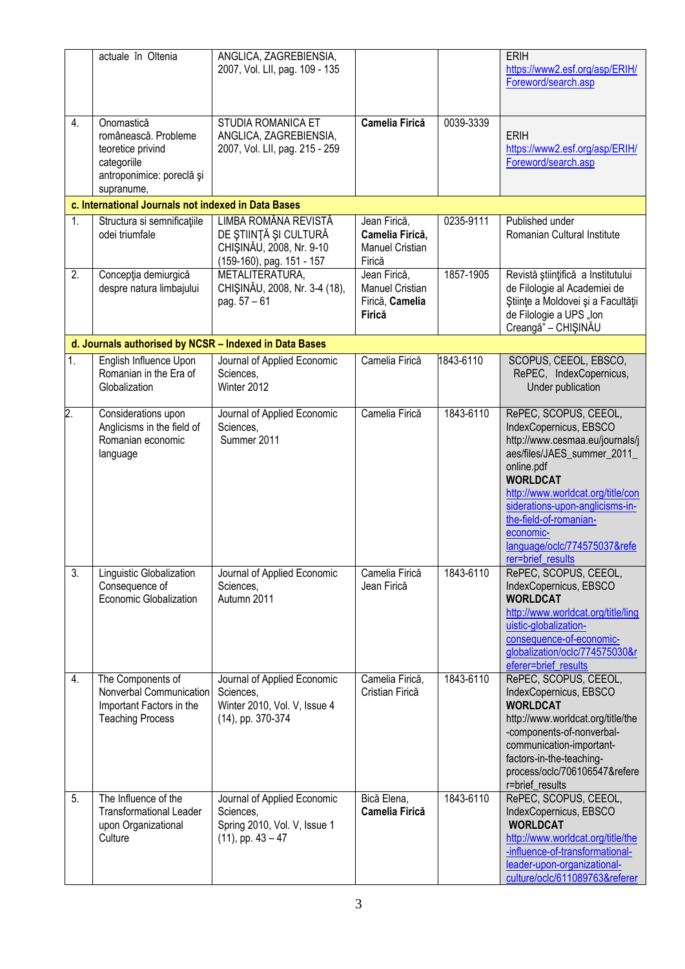|                  | actuale în Oltenia                                                                                                | ANGLICA, ZAGREBIENSIA,<br>2007, Vol. LII, pag. 109 - 135                                               |                                                                     |           | <b>ERIH</b><br>https://www2.esf.org/asp/ERIH/<br>Foreword/search.asp                                                                                                                                                                                                                                                   |
|------------------|-------------------------------------------------------------------------------------------------------------------|--------------------------------------------------------------------------------------------------------|---------------------------------------------------------------------|-----------|------------------------------------------------------------------------------------------------------------------------------------------------------------------------------------------------------------------------------------------------------------------------------------------------------------------------|
| 4.               | Onomastică<br>românească. Probleme<br>teoretice privind<br>categoriile<br>antroponimice: poreclă și<br>supranume, | STUDIA ROMANICA ET<br>ANGLICA, ZAGREBIENSIA,<br>2007, Vol. LII, pag. 215 - 259                         | <b>Camelia Firică</b>                                               | 0039-3339 | <b>ERIH</b><br>https://www2.esf.org/asp/ERIH/<br>Foreword/search.asp                                                                                                                                                                                                                                                   |
|                  | c. International Journals not indexed in Data Bases                                                               |                                                                                                        |                                                                     |           |                                                                                                                                                                                                                                                                                                                        |
| 1.               | Structura si semnificațiile<br>odei triumfale                                                                     | LIMBA ROMÂNA REVISTĂ<br>DE ȘTIINȚĂ ȘI CULTURĂ<br>CHIŞINĂU, 2008, Nr. 9-10<br>(159-160), pag. 151 - 157 | Jean Firică,<br>Camelia Firică,<br><b>Manuel Cristian</b><br>Firică | 0235-9111 | Published under<br>Romanian Cultural Institute                                                                                                                                                                                                                                                                         |
| $\overline{2}$ . | Concepția demiurgică<br>despre natura limbajului                                                                  | METALITERATURA,<br>CHIŞINĂU, 2008, Nr. 3-4 (18),<br>pag. 57 - 61                                       | Jean Firică,<br><b>Manuel Cristian</b><br>Firică, Camelia<br>Firică | 1857-1905 | Revistă științifică a Institutului<br>de Filologie al Academiei de<br>Științe a Moldovei și a Facultății<br>de Filologie a UPS "Ion<br>Creangă" - CHIŞINĂU                                                                                                                                                             |
|                  | d. Journals authorised by NCSR - Indexed in Data Bases                                                            |                                                                                                        |                                                                     |           |                                                                                                                                                                                                                                                                                                                        |
| 1.               | English Influence Upon<br>Romanian in the Era of<br>Globalization                                                 | Journal of Applied Economic<br>Sciences,<br>Winter 2012                                                | Camelia Firică                                                      | 1843-6110 | SCOPUS, CEEOL, EBSCO,<br>RePEC, IndexCopernicus,<br>Under publication                                                                                                                                                                                                                                                  |
| $\overline{2}$ . | Considerations upon<br>Anglicisms in the field of<br>Romanian economic<br>language                                | Journal of Applied Economic<br>Sciences,<br>Summer 2011                                                | Camelia Firică                                                      | 1843-6110 | RePEC, SCOPUS, CEEOL,<br>IndexCopernicus, EBSCO<br>http://www.cesmaa.eu/journals/j<br>aes/files/JAES_summer_2011_<br>online.pdf<br><b>WORLDCAT</b><br>http://www.worldcat.org/title/con<br>siderations-upon-anglicisms-in-<br>the-field-of-romanian-<br>economic-<br>language/oclc/774575037&refe<br>rer=brief results |
| $\overline{3}$ . | Linguistic Globalization<br>Consequence of<br>Economic Globalization                                              | Journal of Applied Economic<br>Sciences,<br>Autumn 2011                                                | Camelia Firică<br>Jean Firică                                       | 1843-6110 | RePEC, SCOPUS, CEEOL,<br>IndexCopernicus, EBSCO<br><b>WORLDCAT</b><br>http://www.worldcat.org/title/ling<br>uistic-globalization-<br>consequence-of-economic-<br>globalization/oclc/774575030&r<br>eferer=brief results                                                                                                |
| 4.               | The Components of<br>Nonverbal Communication<br>Important Factors in the<br><b>Teaching Process</b>               | Journal of Applied Economic<br>Sciences,<br>Winter 2010, Vol. V, Issue 4<br>(14), pp. 370-374          | Camelia Firică,<br>Cristian Firică                                  | 1843-6110 | RePEC, SCOPUS, CEEOL,<br>IndexCopernicus, EBSCO<br><b>WORLDCAT</b><br>http://www.worldcat.org/title/the<br>-components-of-nonverbal-<br>communication-important-<br>factors-in-the-teaching-<br>process/oclc/706106547&refere<br>r=brief_results                                                                       |
| 5.               | The Influence of the<br><b>Transformational Leader</b><br>upon Organizational<br>Culture                          | Journal of Applied Economic<br>Sciences,<br>Spring 2010, Vol. V, Issue 1<br>$(11)$ , pp. $43 - 47$     | Bică Elena,<br><b>Camelia Firică</b>                                | 1843-6110 | RePEC, SCOPUS, CEEOL,<br>IndexCopernicus, EBSCO<br><b>WORLDCAT</b><br>http://www.worldcat.org/title/the<br>-influence-of-transformational-<br>leader-upon-organizational-<br>culture/oclc/611089763&referer                                                                                                            |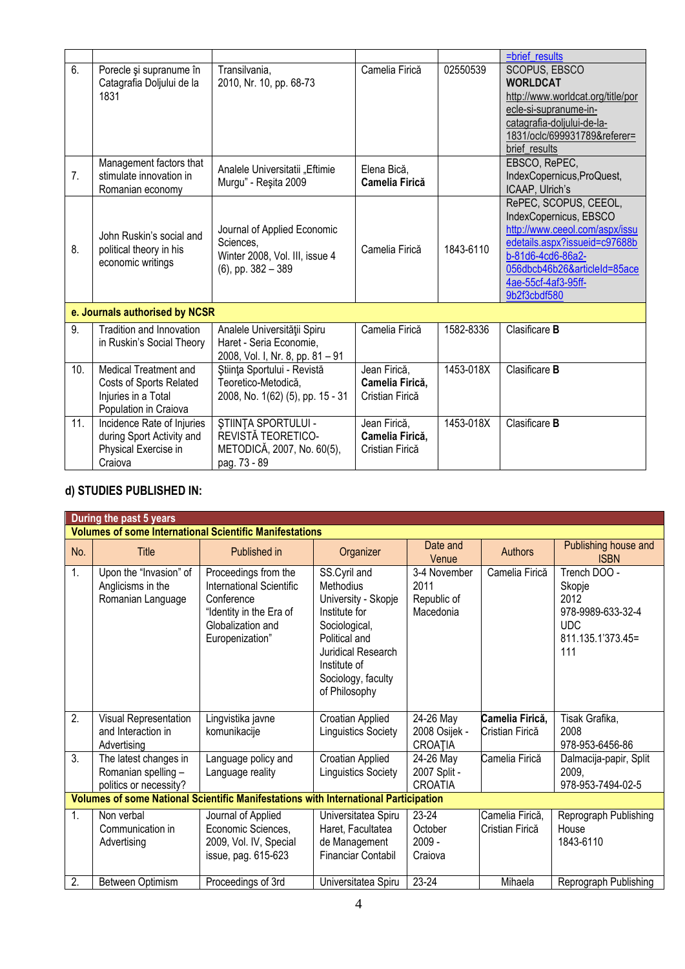|                |                                                                                                  |                                                                                                     |                                                    |           | =brief results                                                                                                                                                                                                 |
|----------------|--------------------------------------------------------------------------------------------------|-----------------------------------------------------------------------------------------------------|----------------------------------------------------|-----------|----------------------------------------------------------------------------------------------------------------------------------------------------------------------------------------------------------------|
| 6.             | Porecle și supranume în<br>Catagrafia Doljului de la<br>1831                                     | Transilvania,<br>2010, Nr. 10, pp. 68-73                                                            | Camelia Firică                                     | 02550539  | SCOPUS, EBSCO<br><b>WORLDCAT</b><br>http://www.worldcat.org/title/por<br>ecle-si-supranume-in-<br>catagrafia-doljului-de-la-<br>1831/oclc/699931789&referer=<br>brief results                                  |
| 7 <sub>1</sub> | Management factors that<br>stimulate innovation in<br>Romanian economy                           | Analele Universitatii "Eftimie<br>Murgu" - Resita 2009                                              | Elena Bică,<br><b>Camelia Firică</b>               |           | EBSCO, RePEC,<br>IndexCopernicus, ProQuest,<br>ICAAP, Ulrich's                                                                                                                                                 |
| 8.             | John Ruskin's social and<br>political theory in his<br>economic writings                         | Journal of Applied Economic<br>Sciences,<br>Winter 2008, Vol. III, issue 4<br>$(6)$ , pp. 382 - 389 | Camelia Firică                                     | 1843-6110 | RePEC, SCOPUS, CEEOL,<br>IndexCopernicus, EBSCO<br>http://www.ceeol.com/aspx/issu<br>edetails.aspx?issueid=c97688b<br>b-81d6-4cd6-86a2-<br>056dbcb46b26&articleId=85ace<br>4ae-55cf-4af3-95ff-<br>9b2f3cbdf580 |
|                | e. Journals authorised by NCSR                                                                   |                                                                                                     |                                                    |           |                                                                                                                                                                                                                |
| 9.             | Tradition and Innovation<br>in Ruskin's Social Theory                                            | Analele Universității Spiru<br>Haret - Seria Economie,<br>2008, Vol. I, Nr. 8, pp. 81 - 91          | Camelia Firică                                     | 1582-8336 | Clasificare <b>B</b>                                                                                                                                                                                           |
| 10.            | Medical Treatment and<br>Costs of Sports Related<br>Injuries in a Total<br>Population in Craiova | Știința Sportului - Revistă<br>Teoretico-Metodică,<br>2008, No. 1(62) (5), pp. 15 - 31              | Jean Firică,<br>Camelia Firică,<br>Cristian Firică | 1453-018X | Clasificare <b>B</b>                                                                                                                                                                                           |
| 11.            | Incidence Rate of Injuries<br>during Sport Activity and<br>Physical Exercise in<br>Craiova       | ŞTIINȚA SPORTULUI -<br>REVISTĂ TEORETICO-<br>METODICĂ, 2007, No. 60(5),<br>pag. 73 - 89             | Jean Firică,<br>Camelia Firică,<br>Cristian Firică | 1453-018X | Clasificare B                                                                                                                                                                                                  |

# **d) STUDIES PUBLISHED IN:**

|     | During the past 5 years                                                |                                                                                                                                   |                                                                                                                                                                                  |                                                  |                                    |                                                                                               |  |  |  |
|-----|------------------------------------------------------------------------|-----------------------------------------------------------------------------------------------------------------------------------|----------------------------------------------------------------------------------------------------------------------------------------------------------------------------------|--------------------------------------------------|------------------------------------|-----------------------------------------------------------------------------------------------|--|--|--|
|     | <b>Volumes of some International Scientific Manifestations</b>         |                                                                                                                                   |                                                                                                                                                                                  |                                                  |                                    |                                                                                               |  |  |  |
| No. | Title                                                                  | Published in                                                                                                                      | Organizer                                                                                                                                                                        | Date and<br>Venue                                | <b>Authors</b>                     | Publishing house and<br><b>ISBN</b>                                                           |  |  |  |
| 1.  | Upon the "Invasion" of<br>Anglicisms in the<br>Romanian Language       | Proceedings from the<br>International Scientific<br>Conference<br>"Identity in the Era of<br>Globalization and<br>Europenization" | SS.Cyril and<br>Methodius<br>University - Skopje<br>Institute for<br>Sociological,<br>Political and<br>Juridical Research<br>Institute of<br>Sociology, faculty<br>of Philosophy | 3-4 November<br>2011<br>Republic of<br>Macedonia | Camelia Firică                     | Trench DOO -<br>Skopje<br>2012<br>978-9989-633-32-4<br><b>UDC</b><br>811.135.1'373.45=<br>111 |  |  |  |
| 2.  | Visual Representation<br>and Interaction in<br>Advertising             | Lingvistika javne<br>komunikacije                                                                                                 | Croatian Applied<br><b>Linguistics Society</b>                                                                                                                                   | 24-26 May<br>2008 Osijek -<br>CROAȚIA            | Camelia Firică,<br>Cristian Firică | Tisak Grafika,<br>2008<br>978-953-6456-86                                                     |  |  |  |
| 3.  | The latest changes in<br>Romanian spelling -<br>politics or necessity? | Language policy and<br>Language reality                                                                                           | Croatian Applied<br><b>Linguistics Society</b>                                                                                                                                   | 24-26 May<br>2007 Split -<br><b>CROATIA</b>      | Camelia Firică                     | Dalmacija-papir, Split<br>2009,<br>978-953-7494-02-5                                          |  |  |  |
|     |                                                                        | Volumes of some National Scientific Manifestations with International Participation                                               |                                                                                                                                                                                  |                                                  |                                    |                                                                                               |  |  |  |
| 1.  | Non verbal<br>Communication in<br>Advertising                          | Journal of Applied<br>Economic Sciences,<br>2009, Vol. IV, Special<br>issue, pag. 615-623                                         | Universitatea Spiru<br>Haret, Facultatea<br>de Management<br>Financiar Contabil                                                                                                  | 23-24<br>October<br>$2009 -$<br>Craiova          | Camelia Firică,<br>Cristian Firică | Reprograph Publishing<br>House<br>1843-6110                                                   |  |  |  |
| 2.  | Between Optimism                                                       | Proceedings of 3rd                                                                                                                | Universitatea Spiru                                                                                                                                                              | $23 - 24$                                        | Mihaela                            | Reprograph Publishing                                                                         |  |  |  |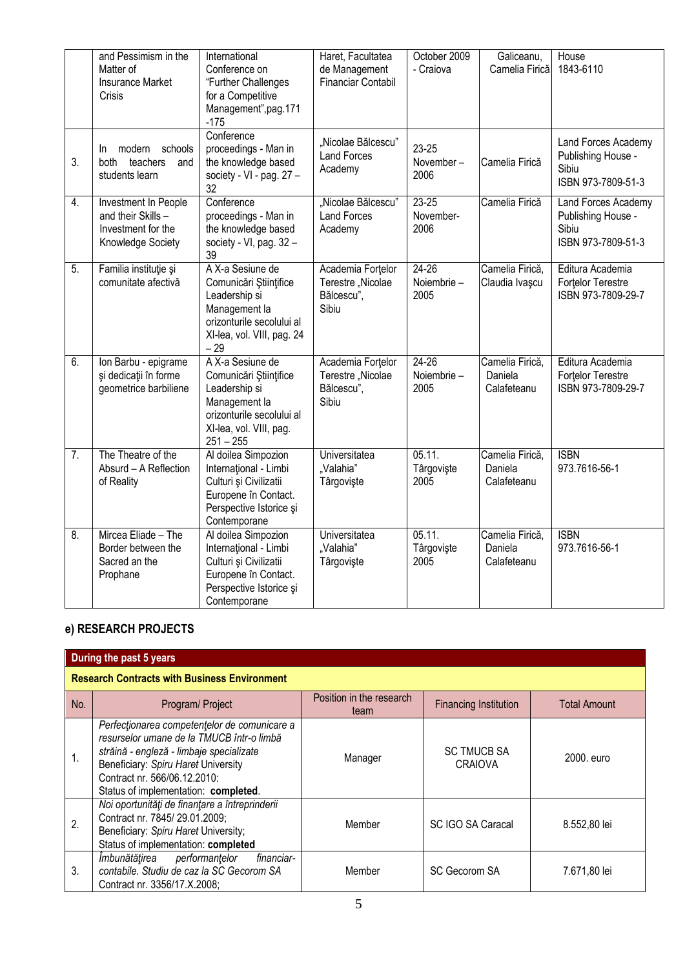|                  | and Pessimism in the<br>Matter of<br><b>Insurance Market</b><br>Crisis                | International<br>Conference on<br>"Further Challenges<br>for a Competitive<br>Management", pag. 171<br>$-175$                                       | Haret, Facultatea<br>de Management<br>Financiar Contabil      | October 2009<br>- Craiova        | Galiceanu,<br>Camelia Firică              | House<br>1843-6110                                                       |
|------------------|---------------------------------------------------------------------------------------|-----------------------------------------------------------------------------------------------------------------------------------------------------|---------------------------------------------------------------|----------------------------------|-------------------------------------------|--------------------------------------------------------------------------|
| 3.               | modern<br>schools<br>In.<br>both teachers<br>and<br>students learn                    | Conference<br>proceedings - Man in<br>the knowledge based<br>society - VI - pag. 27 -<br>32                                                         | "Nicolae Bălcescu"<br><b>Land Forces</b><br>Academy           | 23-25<br>November-<br>2006       | Camelia Firică                            | Land Forces Academy<br>Publishing House -<br>Sibiu<br>ISBN 973-7809-51-3 |
| 4.               | Investment In People<br>and their Skills -<br>Investment for the<br>Knowledge Society | Conference<br>proceedings - Man in<br>the knowledge based<br>society - VI, pag. $32 -$<br>39                                                        | "Nicolae Bălcescu"<br><b>Land Forces</b><br>Academy           | $23 - 25$<br>November-<br>2006   | Camelia Firică                            | Land Forces Academy<br>Publishing House -<br>Sibiu<br>ISBN 973-7809-51-3 |
| $\overline{5}$ . | Familia instituție și<br>comunitate afectivă                                          | A X-a Sesiune de<br>Comunicări Științifice<br>Leadership si<br>Management la<br>orizonturile secolului al<br>XI-lea, vol. VIII, pag. 24<br>$-29$    | Academia Fortelor<br>Terestre "Nicolae<br>Bălcescu".<br>Sibiu | $24 - 26$<br>Noiembrie -<br>2005 | Camelia Firică,<br>Claudia Ivașcu         | Editura Academia<br>Fortelor Terestre<br>ISBN 973-7809-29-7              |
| 6.               | Ion Barbu - epigrame<br>și dedicații în forme<br>geometrice barbiliene                | A X-a Sesiune de<br>Comunicări Științifice<br>Leadership si<br>Management la<br>orizonturile secolului al<br>XI-lea, vol. VIII, pag.<br>$251 - 255$ | Academia Fortelor<br>Terestre "Nicolae<br>Bălcescu",<br>Sibiu | $24 - 26$<br>Noiembrie -<br>2005 | Camelia Firică,<br>Daniela<br>Calafeteanu | Editura Academia<br>Fortelor Terestre<br>ISBN 973-7809-29-7              |
| $\overline{7}$ . | The Theatre of the<br>Absurd - A Reflection<br>of Reality                             | Al doilea Simpozion<br>International - Limbi<br>Culturi și Civilizatii<br>Europene în Contact.<br>Perspective Istorice și<br>Contemporane           | Universitatea<br>"Valahia"<br>Târgovişte                      | 05.11.<br>Târgoviște<br>2005     | Camelia Firică,<br>Daniela<br>Calafeteanu | <b>ISBN</b><br>973.7616-56-1                                             |
| 8.               | Mircea Eliade - The<br>Border between the<br>Sacred an the<br>Prophane                | Al doilea Simpozion<br>Internațional - Limbi<br>Culturi și Civilizatii<br>Europene în Contact.<br>Perspective Istorice și<br>Contemporane           | Universitatea<br>"Valahia"<br>Târgovişte                      | 05.11.<br>Târgovişte<br>2005     | Camelia Firică,<br>Daniela<br>Calafeteanu | <b>ISBN</b><br>973.7616-56-1                                             |

# **e) RESEARCH PROJECTS**

|                                                     | During the past 5 years                                                                                                                                                                                                                              |                                  |                                      |                     |  |  |  |  |  |  |
|-----------------------------------------------------|------------------------------------------------------------------------------------------------------------------------------------------------------------------------------------------------------------------------------------------------------|----------------------------------|--------------------------------------|---------------------|--|--|--|--|--|--|
| <b>Research Contracts with Business Environment</b> |                                                                                                                                                                                                                                                      |                                  |                                      |                     |  |  |  |  |  |  |
| No.                                                 | Program/ Project                                                                                                                                                                                                                                     | Position in the research<br>team | <b>Financing Institution</b>         | <b>Total Amount</b> |  |  |  |  |  |  |
| 1.                                                  | Perfectionarea competentelor de comunicare a<br>resurselor umane de la TMUCB într-o limbă<br>străină - engleză - limbaje specializate<br>Beneficiary: Spiru Haret University<br>Contract nr. 566/06.12.2010:<br>Status of implementation: completed. | Manager                          | <b>SC TMUCB SA</b><br><b>CRAIOVA</b> | 2000, euro          |  |  |  |  |  |  |
| 2.                                                  | Noi oportunități de finanțare a întreprinderii<br>Contract nr. 7845/29.01.2009;<br>Beneficiary: Spiru Haret University;<br>Status of implementation: completed                                                                                       | Member                           | <b>SC IGO SA Caracal</b>             | 8.552.80 lei        |  |  |  |  |  |  |
| 3.                                                  | Îmbunătățirea performanțelor<br>financiar-<br>contabile. Studiu de caz la SC Gecorom SA<br>Contract nr. 3356/17.X.2008;                                                                                                                              | Member                           | <b>SC Gecorom SA</b>                 | 7.671,80 lei        |  |  |  |  |  |  |